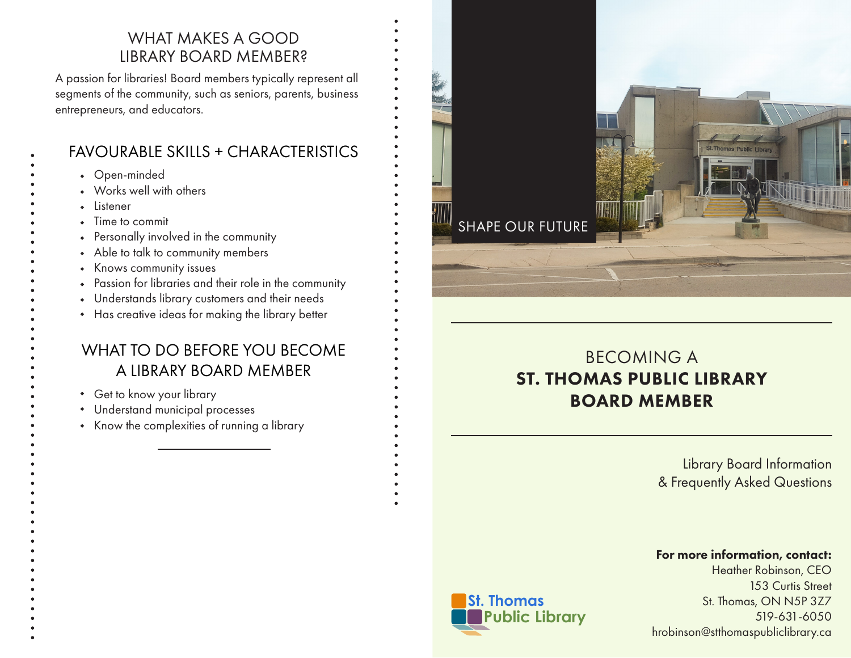### WHAT MAKES A GOOD LIBRARY BOARD MEMBER?

A passion for libraries! Board members typically represent all segments of the community, such as seniors, parents, business entrepreneurs, and educators.

# FAVOURABLE SKILLS + CHARACTERISTICS

- Open-minded
- Works well with others
- Listener
- Time to commit
- Personally involved in the community
- Able to talk to community members
- Knows community issues
- Passion for libraries and their role in the community
- Understands library customers and their needs
- Has creative ideas for making the library better

# WHAT TO DO BEFORE YOU BECOME A LIBRARY BOARD MEMBER

- Get to know your library
- Understand municipal processes
- Know the complexities of running a library

# SHAPE OUR FUTURE

# BECOMING A ST. THOMAS PUBLIC LIBRARY BOARD MEMBER

Library Board Information & Frequently Asked Questions

### For more information, contact:

Heather Robinson, CEO 153 Curtis Street St. Thomas, ON N5P 3Z7 519-631-6050 hrobinson@stthomaspubliclibrary.ca